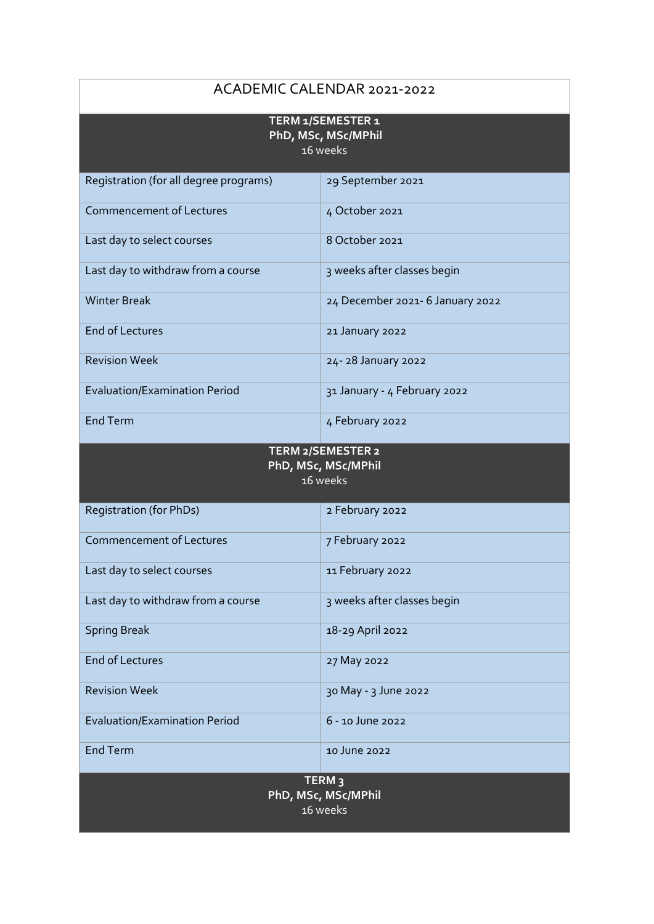## ACADEMIC CALENDAR 2021-2022 **TERM 1/SEMESTER 1 PhD, MSc, MSc/MPhil** 16 weeks Registration (for all degree programs) 29 September 2021 Commencement of Lectures 4 October 2021 Last day to select courses 8 October 2021 Last day to withdraw from a course  $\vert$  3 weeks after classes begin Winter Break 24 December 2021- 6 January 2022 End of Lectures 2022 Revision Week 24- 28 January 2022 Evaluation/Examination Period 31 January - 4 February 2022 End Term 4 February 2022 **TERM 2/SEMESTER 2 PhD, MSc, MSc/MPhil** 16 weeks Registration (for PhDs) 2 February 2022 Commencement of Lectures 7 February 2022 Last day to select courses 11 February 2022 Last day to withdraw from a course  $\vert$  3 weeks after classes begin Spring Break 18-29 April 2022 End of Lectures 27 May 2022 Revision Week 30 May - 3 June 2022 Evaluation/Examination Period 6 - 10 June 2022 End Term and Term 2022 **TERM 3**

**PhD, MSc, MSc/MPhil** 16 weeks